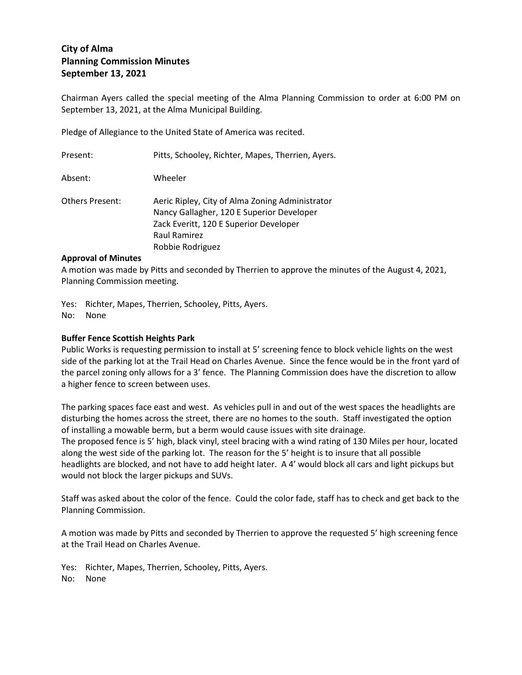# **City of Alma Planning Commission Minutes September 13, 2021**

Chairman Ayers called the special meeting of the Alma Planning Commission to order at 6:00 PM on September 13, 2021, at the Alma Municipal Building.

Pledge of Allegiance to the United State of America was recited.

| Present:               | Pitts, Schooley, Richter, Mapes, Therrien, Ayers.                                                                                                                          |
|------------------------|----------------------------------------------------------------------------------------------------------------------------------------------------------------------------|
| Absent:                | Wheeler                                                                                                                                                                    |
| <b>Others Present:</b> | Aeric Ripley, City of Alma Zoning Administrator<br>Nancy Gallagher, 120 E Superior Developer<br>Zack Everitt, 120 E Superior Developer<br>Raul Ramirez<br>Robbie Rodriguez |

# **Approval of Minutes**

A motion was made by Pitts and seconded by Therrien to approve the minutes of the August 4, 2021, Planning Commission meeting.

Yes: Richter, Mapes, Therrien, Schooley, Pitts, Ayers. No: None

# **Buffer Fence Scottish Heights Park**

Public Works is requesting permission to install at 5' screening fence to block vehicle lights on the west side of the parking lot at the Trail Head on Charles Avenue. Since the fence would be in the front yard of the parcel zoning only allows for a 3' fence. The Planning Commission does have the discretion to allow a higher fence to screen between uses.

The parking spaces face east and west. As vehicles pull in and out of the west spaces the headlights are disturbing the homes across the street, there are no homes to the south. Staff investigated the option of installing a mowable berm, but a berm would cause issues with site drainage.

The proposed fence is 5' high, black vinyl, steel bracing with a wind rating of 130 Miles per hour, located along the west side of the parking lot. The reason for the 5' height is to insure that all possible headlights are blocked, and not have to add height later. A 4' would block all cars and light pickups but would not block the larger pickups and SUVs.

Staff was asked about the color of the fence. Could the color fade, staff has to check and get back to the Planning Commission.

A motion was made by Pitts and seconded by Therrien to approve the requested 5' high screening fence at the Trail Head on Charles Avenue.

Yes: Richter, Mapes, Therrien, Schooley, Pitts, Ayers.

No: None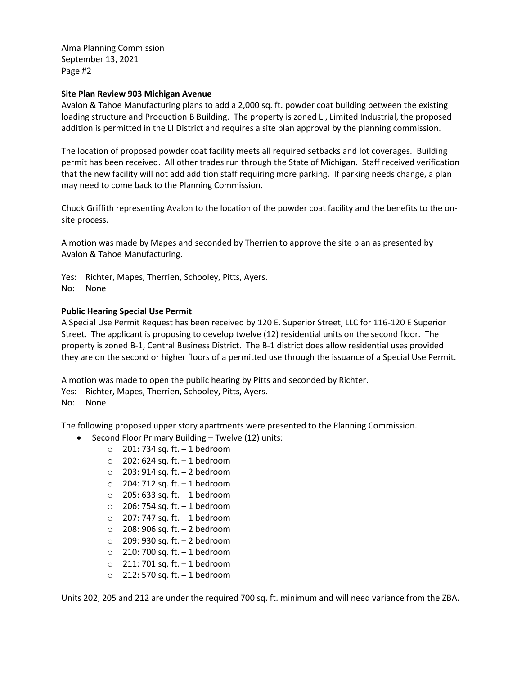Alma Planning Commission September 13, 2021 Page #2

## **Site Plan Review 903 Michigan Avenue**

Avalon & Tahoe Manufacturing plans to add a 2,000 sq. ft. powder coat building between the existing loading structure and Production B Building. The property is zoned LI, Limited Industrial, the proposed addition is permitted in the LI District and requires a site plan approval by the planning commission.

The location of proposed powder coat facility meets all required setbacks and lot coverages. Building permit has been received. All other trades run through the State of Michigan. Staff received verification that the new facility will not add addition staff requiring more parking. If parking needs change, a plan may need to come back to the Planning Commission.

Chuck Griffith representing Avalon to the location of the powder coat facility and the benefits to the onsite process.

A motion was made by Mapes and seconded by Therrien to approve the site plan as presented by Avalon & Tahoe Manufacturing.

Yes: Richter, Mapes, Therrien, Schooley, Pitts, Ayers.

No: None

### **Public Hearing Special Use Permit**

A Special Use Permit Request has been received by 120 E. Superior Street, LLC for 116-120 E Superior Street. The applicant is proposing to develop twelve (12) residential units on the second floor. The property is zoned B-1, Central Business District. The B-1 district does allow residential uses provided they are on the second or higher floors of a permitted use through the issuance of a Special Use Permit.

A motion was made to open the public hearing by Pitts and seconded by Richter.

Yes: Richter, Mapes, Therrien, Schooley, Pitts, Ayers.

#### No: None

The following proposed upper story apartments were presented to the Planning Commission.

- Second Floor Primary Building Twelve (12) units:
	- $\circ$  201: 734 sq. ft. 1 bedroom
	- $\circ$  202: 624 sq. ft.  $-1$  bedroom
	- o 203: 914 sq. ft. 2 bedroom
	- $\circ$  204: 712 sq. ft.  $-1$  bedroom
	- $\circ$  205: 633 sq. ft.  $-1$  bedroom
	- $\circ$  206: 754 sq. ft. 1 bedroom
	- $\circ$  207: 747 sq. ft.  $-1$  bedroom
	- $\circ$  208: 906 sq. ft. 2 bedroom
	- o 209: 930 sq. ft. 2 bedroom
	- $\circ$  210: 700 sq. ft. 1 bedroom
	- $\circ$  211: 701 sq. ft. 1 bedroom
	- $\circ$  212: 570 sq. ft. 1 bedroom

Units 202, 205 and 212 are under the required 700 sq. ft. minimum and will need variance from the ZBA.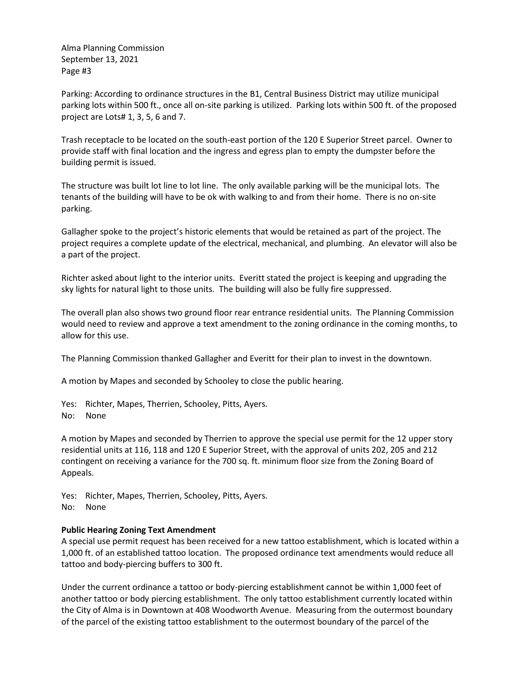Alma Planning Commission September 13, 2021 Page #3

Parking: According to ordinance structures in the B1, Central Business District may utilize municipal parking lots within 500 ft., once all on-site parking is utilized. Parking lots within 500 ft. of the proposed project are Lots# 1, 3, 5, 6 and 7.

Trash receptacle to be located on the south-east portion of the 120 E Superior Street parcel. Owner to provide staff with final location and the ingress and egress plan to empty the dumpster before the building permit is issued.

The structure was built lot line to lot line. The only available parking will be the municipal lots. The tenants of the building will have to be ok with walking to and from their home. There is no on-site parking.

Gallagher spoke to the project's historic elements that would be retained as part of the project. The project requires a complete update of the electrical, mechanical, and plumbing. An elevator will also be a part of the project.

Richter asked about light to the interior units. Everitt stated the project is keeping and upgrading the sky lights for natural light to those units. The building will also be fully fire suppressed.

The overall plan also shows two ground floor rear entrance residential units. The Planning Commission would need to review and approve a text amendment to the zoning ordinance in the coming months, to allow for this use.

The Planning Commission thanked Gallagher and Everitt for their plan to invest in the downtown.

A motion by Mapes and seconded by Schooley to close the public hearing.

Yes: Richter, Mapes, Therrien, Schooley, Pitts, Ayers. No: None

A motion by Mapes and seconded by Therrien to approve the special use permit for the 12 upper story residential units at 116, 118 and 120 E Superior Street, with the approval of units 202, 205 and 212 contingent on receiving a variance for the 700 sq. ft. minimum floor size from the Zoning Board of Appeals.

Yes: Richter, Mapes, Therrien, Schooley, Pitts, Ayers. No: None

#### **Public Hearing Zoning Text Amendment**

A special use permit request has been received for a new tattoo establishment, which is located within a 1,000 ft. of an established tattoo location. The proposed ordinance text amendments would reduce all tattoo and body-piercing buffers to 300 ft.

Under the current ordinance a tattoo or body-piercing establishment cannot be within 1,000 feet of another tattoo or body piercing establishment. The only tattoo establishment currently located within the City of Alma is in Downtown at 408 Woodworth Avenue. Measuring from the outermost boundary of the parcel of the existing tattoo establishment to the outermost boundary of the parcel of the